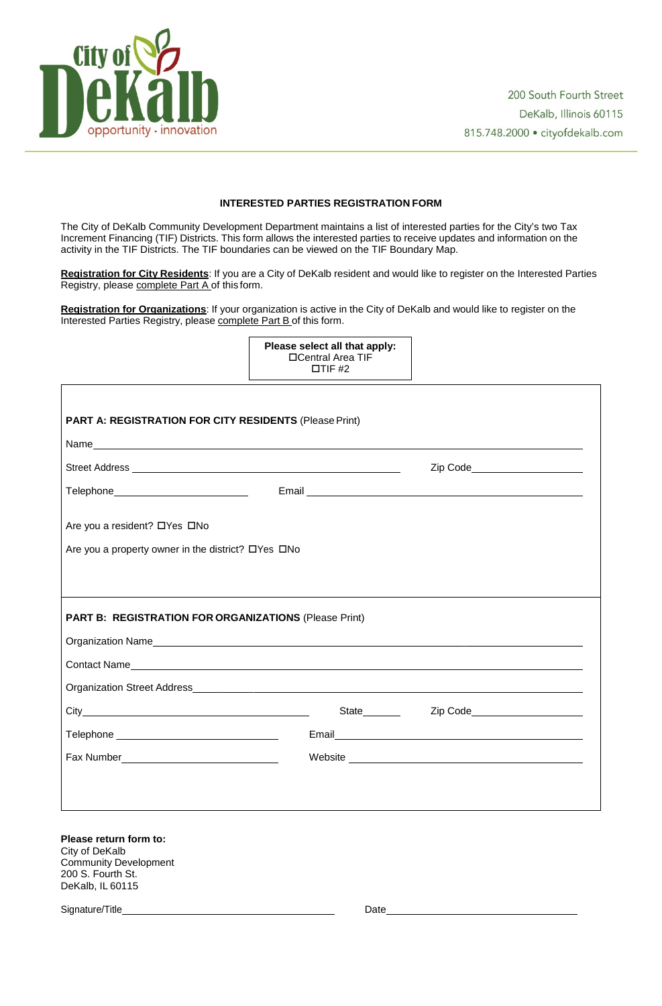

## **INTERESTED PARTIES REGISTRATION FORM**

The City of DeKalb Community Development Department maintains a list of interested parties for the City's two Tax Increment Financing (TIF) Districts. This form allows the interested parties to receive updates and information on the activity in the TIF Districts. The TIF boundaries can be viewed on the TIF Boundary Map.

**Registration for City Residents**: If you are a City of DeKalb resident and would like to register on the Interested Parties Registry, please complete Part A of this form.

| Please select all that apply: |  |  |  |  |
|-------------------------------|--|--|--|--|
| □Central Area TIF             |  |  |  |  |
| $\Box$ TIF #2                 |  |  |  |  |

**Registration for Organizations**: If your organization is active in the City of DeKalb and would like to register on the Interested Parties Registry, please complete Part B of this form.

| <b>PART A: REGISTRATION FOR CITY RESIDENTS (Please Print)</b>                                                        |                    |                                |  |
|----------------------------------------------------------------------------------------------------------------------|--------------------|--------------------------------|--|
|                                                                                                                      |                    |                                |  |
| Street Address National Address National Address National Address National Address National Address National Address |                    | Zip Code______________________ |  |
| Telephone_____________________________                                                                               |                    |                                |  |
| Are you a resident? □ Yes □ No                                                                                       |                    |                                |  |
| Are you a property owner in the district? DYes DNo                                                                   |                    |                                |  |
|                                                                                                                      |                    |                                |  |
| <b>PART B: REGISTRATION FOR ORGANIZATIONS (Please Print)</b>                                                         |                    |                                |  |
|                                                                                                                      |                    |                                |  |
|                                                                                                                      |                    |                                |  |
|                                                                                                                      |                    |                                |  |
|                                                                                                                      | <b>State State</b> | Zip Code_____________________  |  |
|                                                                                                                      |                    |                                |  |
| Fax Number                                                                                                           |                    |                                |  |

**Please return form to:** City of DeKalb Community Development 200 S. Fourth St. DeKalb, IL 60115

Signature/Title Date